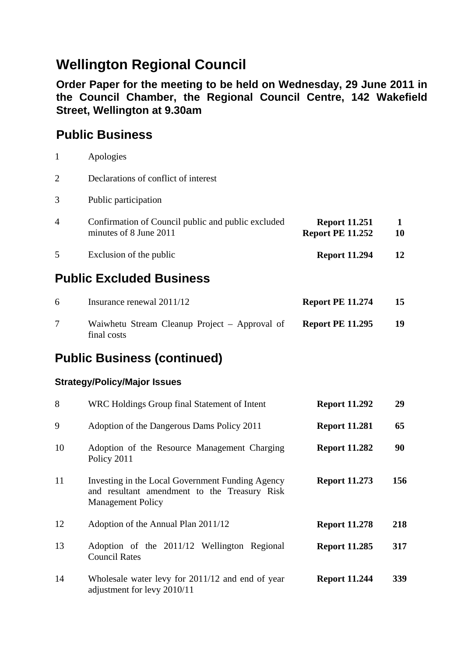# **Wellington Regional Council**

**Order Paper for the meeting to be held on Wednesday, 29 June 2011 in the Council Chamber, the Regional Council Centre, 142 Wakefield Street, Wellington at 9.30am** 

#### **Public Business**

|                | Apologies                                                                    |                                                 |    |
|----------------|------------------------------------------------------------------------------|-------------------------------------------------|----|
| $\overline{2}$ | Declarations of conflict of interest                                         |                                                 |    |
| 3              | Public participation                                                         |                                                 |    |
| 4              | Confirmation of Council public and public excluded<br>minutes of 8 June 2011 | <b>Report 11.251</b><br><b>Report PE 11.252</b> | 10 |
| 5              | Exclusion of the public                                                      | <b>Report 11.294</b>                            | 12 |

### **Public Excluded Business**

| 6 | Insurance renewal 2011/12                                    | <b>Report PE 11.274</b> | 15 |
|---|--------------------------------------------------------------|-------------------------|----|
|   | Waiwhetu Stream Cleanup Project – Approval of<br>final costs | <b>Report PE 11.295</b> | 19 |

## **Public Business (continued)**

#### **Strategy/Policy/Major Issues**

| 8  | WRC Holdings Group final Statement of Intent                                                                                 | <b>Report 11.292</b> | 29         |
|----|------------------------------------------------------------------------------------------------------------------------------|----------------------|------------|
| 9  | Adoption of the Dangerous Dams Policy 2011                                                                                   | <b>Report 11.281</b> | 65         |
| 10 | Adoption of the Resource Management Charging<br>Policy 2011                                                                  | <b>Report 11.282</b> | 90         |
| 11 | Investing in the Local Government Funding Agency<br>and resultant amendment to the Treasury Risk<br><b>Management Policy</b> | <b>Report 11.273</b> | 156        |
| 12 | Adoption of the Annual Plan 2011/12                                                                                          | <b>Report 11.278</b> | 218        |
| 13 | Adoption of the 2011/12 Wellington Regional<br><b>Council Rates</b>                                                          | <b>Report 11.285</b> | 317        |
| 14 | Wholesale water levy for 2011/12 and end of year<br>adjustment for levy 2010/11                                              | <b>Report 11.244</b> | <b>339</b> |